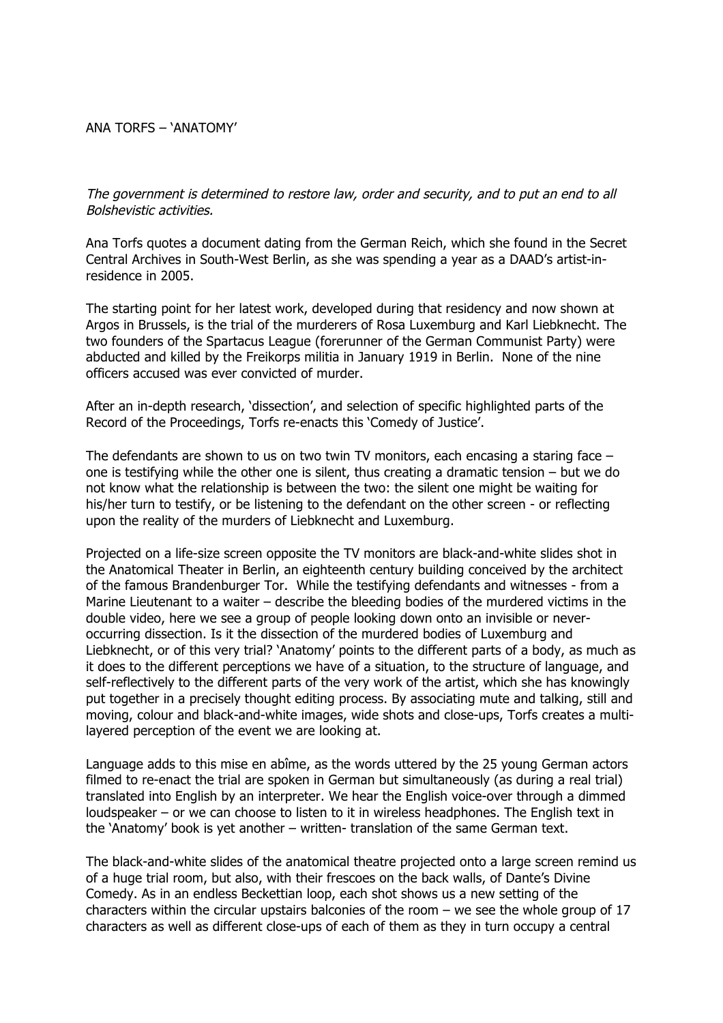## ANA TORFS – 'ANATOMY'

The government is determined to restore law, order and security, and to put an end to all Bolshevistic activities.

Ana Torfs quotes a document dating from the German Reich, which she found in the Secret Central Archives in South-West Berlin, as she was spending a year as a DAAD's artist-inresidence in 2005.

The starting point for her latest work, developed during that residency and now shown at Argos in Brussels, is the trial of the murderers of Rosa Luxemburg and Karl Liebknecht. The two founders of the Spartacus League (forerunner of the German Communist Party) were abducted and killed by the Freikorps militia in January 1919 in Berlin. None of the nine officers accused was ever convicted of murder.

After an in-depth research, 'dissection', and selection of specific highlighted parts of the Record of the Proceedings, Torfs re-enacts this 'Comedy of Justice'.

The defendants are shown to us on two twin TV monitors, each encasing a staring face – one is testifying while the other one is silent, thus creating a dramatic tension – but we do not know what the relationship is between the two: the silent one might be waiting for his/her turn to testify, or be listening to the defendant on the other screen - or reflecting upon the reality of the murders of Liebknecht and Luxemburg.

Projected on a life-size screen opposite the TV monitors are black-and-white slides shot in the Anatomical Theater in Berlin, an eighteenth century building conceived by the architect of the famous Brandenburger Tor. While the testifying defendants and witnesses - from a Marine Lieutenant to a waiter – describe the bleeding bodies of the murdered victims in the double video, here we see a group of people looking down onto an invisible or neveroccurring dissection. Is it the dissection of the murdered bodies of Luxemburg and Liebknecht, or of this very trial? 'Anatomy' points to the different parts of a body, as much as it does to the different perceptions we have of a situation, to the structure of language, and self-reflectively to the different parts of the very work of the artist, which she has knowingly put together in a precisely thought editing process. By associating mute and talking, still and moving, colour and black-and-white images, wide shots and close-ups, Torfs creates a multilayered perception of the event we are looking at.

Language adds to this mise en abîme, as the words uttered by the 25 young German actors filmed to re-enact the trial are spoken in German but simultaneously (as during a real trial) translated into English by an interpreter. We hear the English voice-over through a dimmed loudspeaker – or we can choose to listen to it in wireless headphones. The English text in the 'Anatomy' book is yet another – written- translation of the same German text.

The black-and-white slides of the anatomical theatre projected onto a large screen remind us of a huge trial room, but also, with their frescoes on the back walls, of Dante's Divine Comedy. As in an endless Beckettian loop, each shot shows us a new setting of the characters within the circular upstairs balconies of the room – we see the whole group of 17 characters as well as different close-ups of each of them as they in turn occupy a central